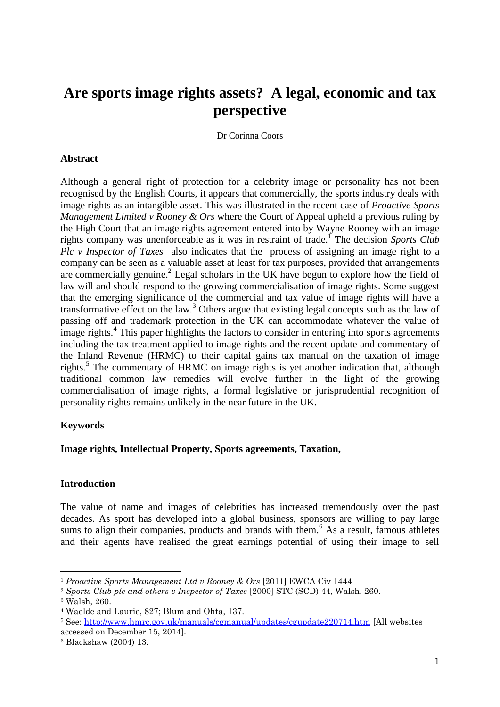# **Are sports image rights assets? A legal, economic and tax perspective**

Dr Corinna Coors

#### **Abstract**

Although a general right of protection for a celebrity image or personality has not been recognised by the English Courts, it appears that commercially, the sports industry deals with image rights as an intangible asset. This was illustrated in the recent case of *Proactive Sports Management Limited v Rooney & Ors* where the Court of Appeal upheld a previous ruling by the High Court that an image rights agreement entered into by Wayne Rooney with an image rights company was unenforceable as it was in restraint of trade.<sup>1</sup> The decision Sports Club *[Plc v Inspector of Taxes](http://login.westlaw.co.uk.ezproxy.uwl.ac.uk/maf/wluk/app/document?src=doc&linktype=ref&context=269&crumb-action=replace&docguid=IA11E37D0E43611DA8FC2A0F0355337E9)* also indicates that the process of assigning an image right to a company can be seen as a valuable asset at least for tax purposes, provided that arrangements are commercially genuine.<sup>2</sup> Legal scholars in the UK have begun to explore how the field of law will and should respond to the growing commercialisation of image rights. Some suggest that the emerging significance of the commercial and tax value of image rights will have a transformative effect on the law.<sup>3</sup> Others argue that existing legal concepts such as the law of passing off and trademark protection in the UK can accommodate whatever the value of image rights.<sup>4</sup> This paper highlights the factors to consider in entering into sports agreements including the tax treatment applied to image rights and the recent update and commentary of the Inland Revenue (HRMC) to their capital gains tax manual on the taxation of image rights. 5 The commentary of HRMC on image rights is yet another indication that, although traditional common law remedies will evolve further in the light of the growing commercialisation of image rights, a formal legislative or jurisprudential recognition of personality rights remains unlikely in the near future in the UK.

#### **Keywords**

#### **Image rights, Intellectual Property, Sports agreements, Taxation,**

#### **Introduction**

The value of name and images of celebrities has increased tremendously over the past decades. As sport has developed into a global business, sponsors are willing to pay large sums to align their companies, products and brands with them.<sup>6</sup> As a result, famous athletes and their agents have realised the great earnings potential of using their image to sell

 $\overline{a}$ 

<sup>1</sup> *Proactive Sports Management Ltd v Rooney & Ors* [2011] EWCA Civ 1444

<sup>2</sup> *Sports Club plc and others v Inspector of Taxes* [2000] STC (SCD) 44, Walsh, 260.

<sup>3</sup> Walsh, 260.

<sup>4</sup> Waelde and Laurie, 827; Blum and Ohta, 137.

<sup>5</sup> See:<http://www.hmrc.gov.uk/manuals/cgmanual/updates/cgupdate220714.htm> [All websites accessed on December 15, 2014].

<sup>6</sup> Blackshaw (2004) 13.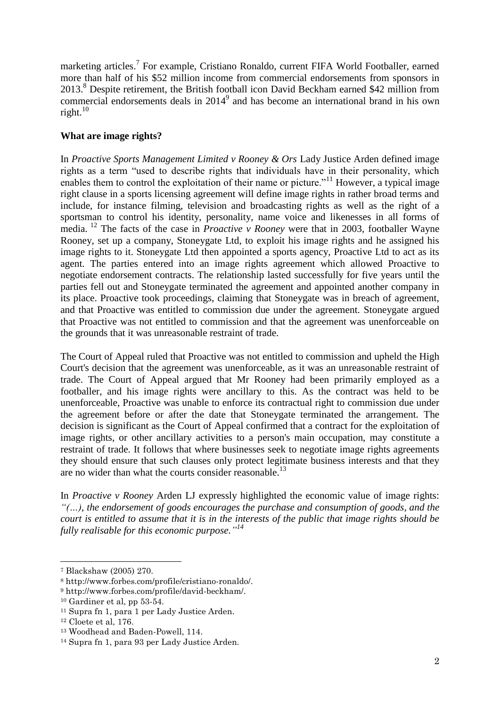marketing articles.<sup>7</sup> For example, Cristiano Ronaldo, current FIFA World Footballer, earned more than half of his \$52 million income from commercial endorsements from sponsors in 2013.<sup>8</sup> Despite retirement, the British football icon David Beckham earned \$42 million from commercial endorsements deals in 2014<sup>9</sup> and has become an international brand in his own right. $^{10}$ 

### **What are image rights?**

In *Proactive Sports Management Limited v Rooney & Ors* Lady Justice Arden defined image rights as a term "used to describe rights that individuals have in their personality, which enables them to control the exploitation of their name or picture."<sup>11</sup> However, a typical image right clause in a sports licensing agreement will define image rights in rather broad terms and include, for instance filming, television and broadcasting rights as well as the right of a sportsman to control his identity, personality, name voice and likenesses in all forms of media. <sup>12</sup> The facts of the case in *Proactive v Rooney* were that in 2003, footballer Wayne Rooney, set up a company, Stoneygate Ltd, to exploit his image rights and he assigned his image rights to it. Stoneygate Ltd then appointed a sports agency, Proactive Ltd to act as its agent. The parties entered into an image rights agreement which allowed Proactive to negotiate endorsement contracts. The relationship lasted successfully for five years until the parties fell out and Stoneygate terminated the agreement and appointed another company in its place. Proactive took proceedings, claiming that Stoneygate was in breach of agreement, and that Proactive was entitled to commission due under the agreement. Stoneygate argued that Proactive was not entitled to commission and that the agreement was unenforceable on the grounds that it was unreasonable restraint of trade.

The Court of Appeal ruled that Proactive was not entitled to commission and upheld the High Court's decision that the agreement was unenforceable, as it was an unreasonable restraint of trade. The Court of Appeal argued that Mr Rooney had been primarily employed as a footballer, and his image rights were ancillary to this. As the contract was held to be unenforceable, Proactive was unable to enforce its contractual right to commission due under the agreement before or after the date that Stoneygate terminated the arrangement. The decision is significant as the Court of Appeal confirmed that a contract for the exploitation of image rights, or other ancillary activities to a person's main occupation, may constitute a restraint of trade. It follows that where businesses seek to negotiate image rights agreements they should ensure that such clauses only protect legitimate business interests and that they are no wider than what the courts consider reasonable.<sup>13</sup>

In *Proactive v Rooney* Arden LJ expressly highlighted the economic value of image rights: *"(…), the endorsement of goods encourages the purchase and consumption of goods, and the court is entitled to assume that it is in the interests of the public that image rights should be fully realisable for this economic purpose." 14*

 $\overline{a}$ 

<sup>7</sup> Blackshaw (2005) 270.

<sup>8</sup> http://www.forbes.com/profile/cristiano-ronaldo/.

<sup>9</sup> http://www.forbes.com/profile/david-beckham/.

<sup>10</sup> Gardiner et al, pp 53-54.

<sup>11</sup> Supra fn 1, para 1 per Lady Justice Arden.

<sup>12</sup> Cloete et al, 176.

<sup>13</sup> Woodhead and Baden-Powell, 114.

<sup>14</sup> Supra fn 1, para 93 per Lady Justice Arden.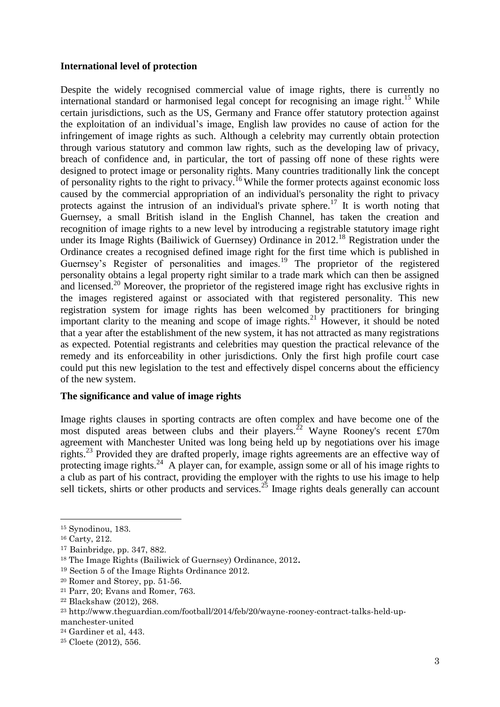#### **International level of protection**

Despite the widely recognised commercial value of image rights, there is currently no international standard or harmonised legal concept for recognising an image right.<sup>15</sup> While certain jurisdictions, such as the US, Germany and France offer statutory protection against the exploitation of an individual's image, English law provides no cause of action for the infringement of image rights as such. Although a celebrity may currently obtain protection through various statutory and common law rights, such as the developing law of privacy, breach of confidence and, in particular, the tort of passing off none of these rights were designed to protect image or personality rights. Many countries traditionally link the concept of personality rights to the right to privacy.<sup>16</sup> While the former protects against economic loss caused by the commercial appropriation of an individual's personality the right to privacy protects against the intrusion of an individual's private sphere.<sup>17</sup> It is worth noting that Guernsey, a small British island in the English Channel, has taken the creation and recognition of image rights to a new level by introducing a registrable statutory image right under its Image Rights (Bailiwick of Guernsey) Ordinance in 2012.<sup>18</sup> Registration under the Ordinance creates a recognised defined image right for the first time which is published in Guernsey's Register of personalities and images.<sup>19</sup> The proprietor of the registered personality obtains a legal property right similar to a trade mark which can then be assigned and licensed.<sup>20</sup> Moreover, the proprietor of the registered image right has exclusive rights in the images registered against or associated with that registered personality. This new registration system for image rights has been welcomed by practitioners for bringing important clarity to the meaning and scope of image rights.<sup>21</sup> However, it should be noted that a year after the establishment of the new system, it has not attracted as many registrations as expected. Potential registrants and celebrities may question the practical relevance of the remedy and its enforceability in other jurisdictions. Only the first high profile court case could put this new legislation to the test and effectively dispel concerns about the efficiency of the new system.

#### **The significance and value of image rights**

Image rights clauses in sporting contracts are often complex and have become one of the most disputed areas between clubs and their players.<sup>22</sup> Wayne Rooney's recent £70m agreement with Manchester United was long being held up by negotiations over his image rights.<sup>23</sup> Provided they are drafted properly, image rights agreements are an effective way of protecting image rights.<sup>24</sup> A player can, for example, assign some or all of his image rights to a club as part of his contract, providing the employer with the rights to use his image to help sell tickets, shirts or other products and services.<sup>25</sup> Image rights deals generally can account

-

<sup>15</sup> Synodinou, 183.

<sup>16</sup> Carty, 212.

<sup>17</sup> Bainbridge, pp. 347, 882.

<sup>18</sup> The Image Rights (Bailiwick of Guernsey) Ordinance, 2012**.**

<sup>19</sup> Section 5 of the Image Rights Ordinance 2012.

<sup>20</sup> Romer and Storey, pp. 51-56.

<sup>21</sup> Parr, 20; Evans and Romer, 763.

<sup>22</sup> Blackshaw (2012), 268.

<sup>23</sup> http://www.theguardian.com/football/2014/feb/20/wayne-rooney-contract-talks-held-up-

manchester-united

<sup>24</sup> Gardiner et al, 443.

<sup>25</sup> Cloete (2012), 556.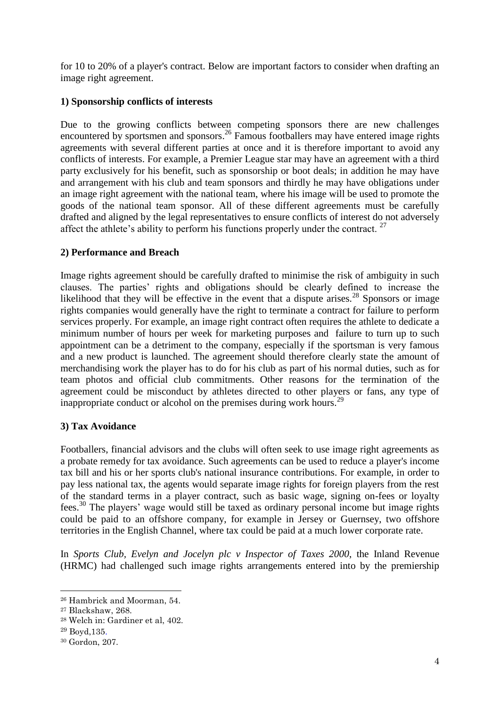for 10 to 20% of a player's contract. Below are important factors to consider when drafting an image right agreement.

### **1) Sponsorship conflicts of interests**

Due to the growing conflicts between competing sponsors there are new challenges encountered by sportsmen and sponsors.<sup>26</sup> Famous footballers may have entered image rights agreements with several different parties at once and it is therefore important to avoid any conflicts of interests. For example, a Premier League star may have an agreement with a third party exclusively for his benefit, such as sponsorship or boot deals; in addition he may have and arrangement with his club and team sponsors and thirdly he may have obligations under an image right agreement with the national team, where his image will be used to promote the goods of the national team sponsor. All of these different agreements must be carefully drafted and aligned by the legal representatives to ensure conflicts of interest do not adversely affect the athlete's ability to perform his functions properly under the contract. <sup>27</sup>

# **2) Performance and Breach**

Image rights agreement should be carefully drafted to minimise the risk of ambiguity in such clauses. The parties' rights and obligations should be clearly defined to increase the likelihood that they will be effective in the event that a dispute arises.<sup>28</sup> Sponsors or image rights companies would generally have the right to terminate a contract for failure to perform services properly. For example, an image right contract often requires the athlete to dedicate a minimum number of hours per week for marketing purposes and failure to turn up to such appointment can be a detriment to the company, especially if the sportsman is very famous and a new product is launched. The agreement should therefore clearly state the amount of merchandising work the player has to do for his club as part of his normal duties, such as for team photos and official club commitments. Other reasons for the termination of the agreement could be misconduct by athletes directed to other players or fans, any type of inappropriate conduct or alcohol on the premises during work hours.<sup>29</sup>

### **3) Tax Avoidance**

Footballers, financial advisors and the clubs will often seek to use image right agreements as a probate remedy for tax avoidance. Such agreements can be used to reduce a player's income tax bill and his or her sports club's national insurance contributions. For example, in order to pay less national tax, the agents would separate image rights for foreign players from the rest of the standard terms in a player contract, such as basic wage, signing on-fees or loyalty fees.<sup>30</sup> The players' wage would still be taxed as ordinary personal income but image rights could be paid to an offshore company, for example in Jersey or Guernsey, two offshore territories in the English Channel, where tax could be paid at a much lower corporate rate.

In *Sports Club, Evelyn and Jocelyn plc v Inspector of Taxes 2000*, the Inland Revenue (HRMC) had challenged such image rights arrangements entered into by the premiership

-

<sup>26</sup> Hambrick and Moorman, 54.

<sup>27</sup> Blackshaw, 268.

<sup>28</sup> Welch in: Gardiner et al, 402.

<sup>29</sup> Boyd,135.

<sup>30</sup> Gordon, 207.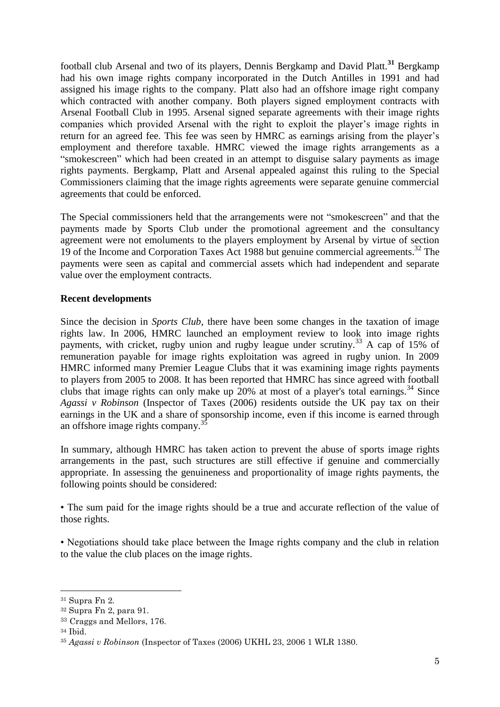football club Arsenal and two of its players, Dennis Bergkamp and David Platt.**<sup>31</sup>** Bergkamp had his own image rights company incorporated in the Dutch Antilles in 1991 and had assigned his image rights to the company. Platt also had an offshore image right company which contracted with another company. Both players signed employment contracts with Arsenal Football Club in 1995. Arsenal signed separate agreements with their image rights companies which provided Arsenal with the right to exploit the player's image rights in return for an agreed fee. This fee was seen by HMRC as earnings arising from the player's employment and therefore taxable. HMRC viewed the image rights arrangements as a "smokescreen" which had been created in an attempt to disguise salary payments as image rights payments. Bergkamp, Platt and Arsenal appealed against this ruling to the Special Commissioners claiming that the image rights agreements were separate genuine commercial agreements that could be enforced.

The Special commissioners held that the arrangements were not "smokescreen" and that the payments made by Sports Club under the promotional agreement and the consultancy agreement were not emoluments to the players employment by Arsenal by virtue of section 19 of the Income and Corporation Taxes Act 1988 but genuine commercial agreements. <sup>32</sup> The payments were seen as capital and commercial assets which had independent and separate value over the employment contracts.

#### **Recent developments**

Since the decision in *Sports Club*, there have been some changes in the taxation of image rights law. In 2006, HMRC launched an employment review to look into image rights payments, with cricket, rugby union and rugby league under scrutiny.<sup>33</sup> A cap of  $15\%$  of remuneration payable for image rights exploitation was agreed in rugby union. In 2009 HMRC informed many Premier League Clubs that it was examining image rights payments to players from 2005 to 2008. It has been reported that HMRC has since agreed with football clubs that image rights can only make up  $20\%$  at most of a player's total earnings.<sup>34</sup> Since *Agassi v Robinson* (Inspector of Taxes (2006) residents outside the UK pay tax on their earnings in the UK and a share of sponsorship income, even if this income is earned through an offshore image rights company.<sup>35</sup>

In summary, although HMRC has taken action to prevent the abuse of sports image rights arrangements in the past, such structures are still effective if genuine and commercially appropriate. In assessing the genuineness and proportionality of image rights payments, the following points should be considered:

• The sum paid for the image rights should be a true and accurate reflection of the value of those rights.

• Negotiations should take place between the Image rights company and the club in relation to the value the club places on the image rights.

-

<sup>31</sup> Supra Fn 2*.*

<sup>32</sup> Supra Fn 2, para 91.

<sup>33</sup> Craggs and Mellors, 176.

<sup>34</sup> Ibid.

<sup>35</sup> *Agassi v Robinson* (Inspector of Taxes (2006) UKHL 23, 2006 1 WLR 1380.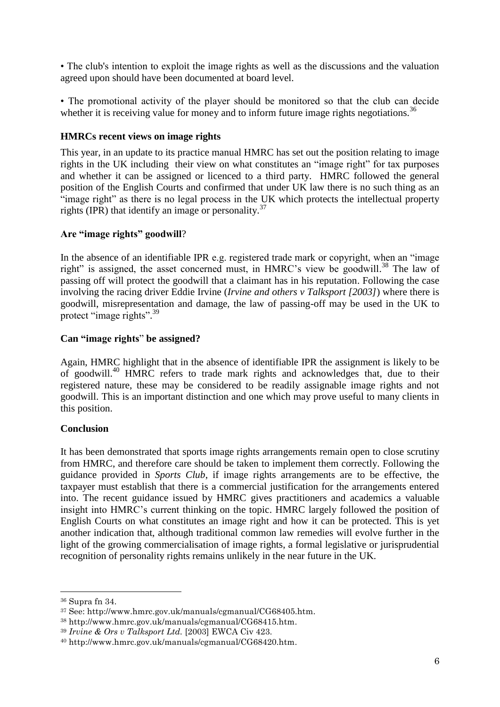• The club's intention to exploit the image rights as well as the discussions and the valuation agreed upon should have been documented at board level.

• The promotional activity of the player should be monitored so that the club can decide whether it is receiving value for money and to inform future image rights negotiations.<sup>36</sup>

### **HMRCs recent views on image rights**

This year, in an update to its practice manual HMRC has set out the position relating to image rights in the UK including their view on what constitutes an "image right" for tax purposes and whether it can be assigned or licenced to a third party. HMRC followed the general position of the English Courts and confirmed that under UK law there is no such thing as an "image right" as there is no legal process in the UK which protects the intellectual property rights (IPR) that identify an image or personality.<sup>37</sup>

# **Are "image rights" goodwill**?

In the absence of an identifiable IPR e.g. registered trade mark or copyright, when an "image right" is assigned, the asset concerned must, in HMRC's view be goodwill.<sup>38</sup> The law of passing off will protect the goodwill that a claimant has in his reputation. Following the case involving the racing driver Eddie Irvine (*Irvine and others v Talksport [2003]*) where there is goodwill, misrepresentation and damage, the law of passing-off may be used in the UK to protect "image rights".<sup>39</sup>

# **Can "image rights**" **be assigned?**

Again, HMRC highlight that in the absence of identifiable IPR the assignment is likely to be of goodwill.<sup>40</sup> HMRC refers to trade mark rights and acknowledges that, due to their registered nature, these may be considered to be readily assignable image rights and not goodwill. This is an important distinction and one which may prove useful to many clients in this position.

### **Conclusion**

It has been demonstrated that sports image rights arrangements remain open to close scrutiny from HMRC, and therefore care should be taken to implement them correctly. Following the guidance provided in *Sports Club*, if image rights arrangements are to be effective, the taxpayer must establish that there is a commercial justification for the arrangements entered into. The recent guidance issued by HMRC gives practitioners and academics a valuable insight into HMRC's current thinking on the topic. HMRC largely followed the position of English Courts on what constitutes an image right and how it can be protected. This is yet another indication that, although traditional common law remedies will evolve further in the light of the growing commercialisation of image rights, a formal legislative or jurisprudential recognition of personality rights remains unlikely in the near future in the UK.

 $\overline{a}$ 

<sup>36</sup> Supra fn 34.

<sup>37</sup> See: http://www.hmrc.gov.uk/manuals/cgmanual/CG68405.htm.

<sup>38</sup> http://www.hmrc.gov.uk/manuals/cgmanual/CG68415.htm.

<sup>39</sup> *Irvine & Ors v Talksport Ltd.* [2003] EWCA Civ 423.

<sup>40</sup> http://www.hmrc.gov.uk/manuals/cgmanual/CG68420.htm.